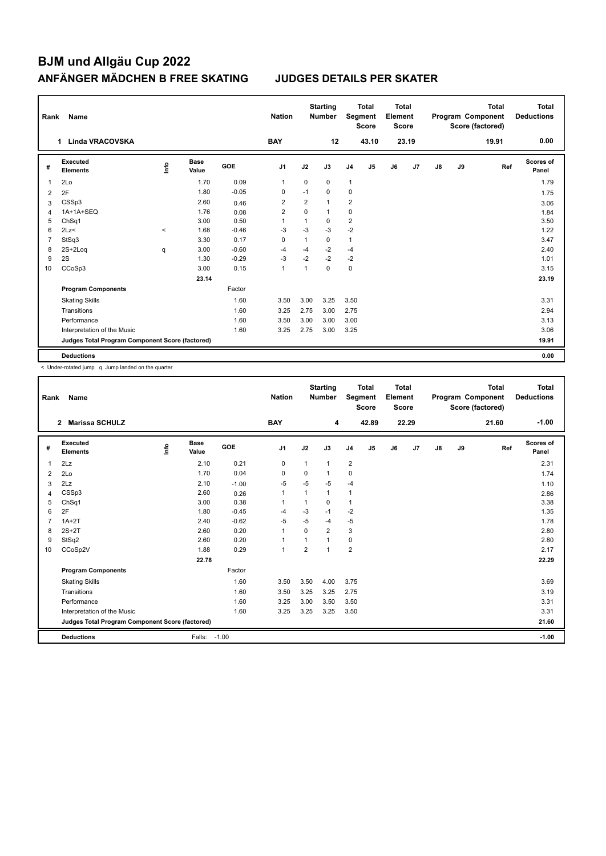| Rank | Name                                            |          |                      |         | <b>Nation</b>  |                | <b>Starting</b><br><b>Number</b> |                | <b>Total</b><br>Segment<br><b>Score</b> | <b>Total</b><br>Element<br><b>Score</b> |       |               |    | <b>Total</b><br>Program Component<br>Score (factored) | <b>Total</b><br><b>Deductions</b> |
|------|-------------------------------------------------|----------|----------------------|---------|----------------|----------------|----------------------------------|----------------|-----------------------------------------|-----------------------------------------|-------|---------------|----|-------------------------------------------------------|-----------------------------------|
|      | <b>Linda VRACOVSKA</b><br>1.                    |          |                      |         | <b>BAY</b>     |                | 12                               |                | 43.10                                   |                                         | 23.19 |               |    | 19.91                                                 | 0.00                              |
| #    | Executed<br><b>Elements</b>                     | lnfo     | <b>Base</b><br>Value | GOE     | J <sub>1</sub> | J2             | J3                               | J <sub>4</sub> | J <sub>5</sub>                          | J6                                      | J7    | $\mathsf{J}8$ | J9 | Ref                                                   | <b>Scores of</b><br>Panel         |
| 1    | 2Lo                                             |          | 1.70                 | 0.09    | $\mathbf{1}$   | $\mathbf 0$    | $\mathbf 0$                      | $\mathbf{1}$   |                                         |                                         |       |               |    |                                                       | 1.79                              |
| 2    | 2F                                              |          | 1.80                 | $-0.05$ | $\Omega$       | $-1$           | $\Omega$                         | 0              |                                         |                                         |       |               |    |                                                       | 1.75                              |
| 3    | CSSp3                                           |          | 2.60                 | 0.46    | $\overline{2}$ | $\overline{2}$ | $\mathbf{1}$                     | 2              |                                         |                                         |       |               |    |                                                       | 3.06                              |
| 4    | 1A+1A+SEQ                                       |          | 1.76                 | 0.08    | $\overline{2}$ | $\mathbf 0$    | $\mathbf{1}$                     | 0              |                                         |                                         |       |               |    |                                                       | 1.84                              |
| 5    | ChSq1                                           |          | 3.00                 | 0.50    | 1              | 1              | $\Omega$                         | $\overline{2}$ |                                         |                                         |       |               |    |                                                       | 3.50                              |
| 6    | 2Lz<                                            | $\hat{}$ | 1.68                 | $-0.46$ | -3             | $-3$           | $-3$                             | $-2$           |                                         |                                         |       |               |    |                                                       | 1.22                              |
| 7    | StSq3                                           |          | 3.30                 | 0.17    | $\mathbf 0$    | $\mathbf{1}$   | $\mathbf 0$                      | $\mathbf{1}$   |                                         |                                         |       |               |    |                                                       | 3.47                              |
| 8    | $2S+2Log$                                       | q        | 3.00                 | $-0.60$ | $-4$           | $-4$           | $-2$                             | $-4$           |                                         |                                         |       |               |    |                                                       | 2.40                              |
| 9    | 2S                                              |          | 1.30                 | $-0.29$ | $-3$           | $-2$           | $-2$                             | $-2$           |                                         |                                         |       |               |    |                                                       | 1.01                              |
| 10   | CCoSp3                                          |          | 3.00                 | 0.15    | $\overline{1}$ | $\mathbf{1}$   | $\Omega$                         | $\mathbf 0$    |                                         |                                         |       |               |    |                                                       | 3.15                              |
|      |                                                 |          | 23.14                |         |                |                |                                  |                |                                         |                                         |       |               |    |                                                       | 23.19                             |
|      | <b>Program Components</b>                       |          |                      | Factor  |                |                |                                  |                |                                         |                                         |       |               |    |                                                       |                                   |
|      | <b>Skating Skills</b>                           |          |                      | 1.60    | 3.50           | 3.00           | 3.25                             | 3.50           |                                         |                                         |       |               |    |                                                       | 3.31                              |
|      | Transitions                                     |          |                      | 1.60    | 3.25           | 2.75           | 3.00                             | 2.75           |                                         |                                         |       |               |    |                                                       | 2.94                              |
|      | Performance                                     |          |                      | 1.60    | 3.50           | 3.00           | 3.00                             | 3.00           |                                         |                                         |       |               |    |                                                       | 3.13                              |
|      | Interpretation of the Music                     |          |                      | 1.60    | 3.25           | 2.75           | 3.00                             | 3.25           |                                         |                                         |       |               |    |                                                       | 3.06                              |
|      | Judges Total Program Component Score (factored) |          |                      |         |                |                |                                  |                |                                         |                                         |       |               |    |                                                       | 19.91                             |
|      | <b>Deductions</b>                               |          |                      |         |                |                |                                  |                |                                         |                                         |       |               |    |                                                       | 0.00                              |

< Under-rotated jump q Jump landed on the quarter

| Rank           | <b>Name</b>                                     |      |                      |            | <b>Nation</b>  |                | <b>Starting</b><br><b>Number</b> |                | <b>Total</b><br>Segment<br><b>Score</b> | Total<br>Element<br>Score |                |               |    | <b>Total</b><br>Program Component<br>Score (factored) | Total<br><b>Deductions</b> |
|----------------|-------------------------------------------------|------|----------------------|------------|----------------|----------------|----------------------------------|----------------|-----------------------------------------|---------------------------|----------------|---------------|----|-------------------------------------------------------|----------------------------|
|                | $\mathbf{2}$<br><b>Marissa SCHULZ</b>           |      |                      |            | <b>BAY</b>     |                | 4                                |                | 42.89                                   |                           | 22.29          |               |    | 21.60                                                 | $-1.00$                    |
| #              | Executed<br><b>Elements</b>                     | lnfo | <b>Base</b><br>Value | <b>GOE</b> | J <sub>1</sub> | J2             | J3                               | J <sub>4</sub> | J <sub>5</sub>                          | J6                        | J <sub>7</sub> | $\mathsf{J}8$ | J9 | Ref                                                   | <b>Scores of</b><br>Panel  |
| $\overline{1}$ | 2Lz                                             |      | 2.10                 | 0.21       | 0              | $\mathbf{1}$   | 1                                | $\overline{2}$ |                                         |                           |                |               |    |                                                       | 2.31                       |
| 2              | 2Lo                                             |      | 1.70                 | 0.04       | 0              | 0              | 1                                | 0              |                                         |                           |                |               |    |                                                       | 1.74                       |
| 3              | 2Lz                                             |      | 2.10                 | $-1.00$    | $-5$           | $-5$           | $-5$                             | $-4$           |                                         |                           |                |               |    |                                                       | 1.10                       |
| $\overline{4}$ | CSSp3                                           |      | 2.60                 | 0.26       | $\mathbf{1}$   | 1              | 1                                | $\mathbf{1}$   |                                         |                           |                |               |    |                                                       | 2.86                       |
| 5              | ChSq1                                           |      | 3.00                 | 0.38       | -1             | 1              | $\Omega$                         | $\mathbf{1}$   |                                         |                           |                |               |    |                                                       | 3.38                       |
| 6              | 2F                                              |      | 1.80                 | $-0.45$    | -4             | $-3$           | $-1$                             | $-2$           |                                         |                           |                |               |    |                                                       | 1.35                       |
| $\overline{7}$ | $1A+2T$                                         |      | 2.40                 | $-0.62$    | $-5$           | $-5$           | $-4$                             | $-5$           |                                         |                           |                |               |    |                                                       | 1.78                       |
| 8              | $2S+2T$                                         |      | 2.60                 | 0.20       | $\overline{1}$ | 0              | $\overline{2}$                   | 3              |                                         |                           |                |               |    |                                                       | 2.80                       |
| 9              | StSq2                                           |      | 2.60                 | 0.20       | $\mathbf 1$    | 1              | 1                                | 0              |                                         |                           |                |               |    |                                                       | 2.80                       |
| 10             | CCoSp2V                                         |      | 1.88                 | 0.29       | $\mathbf{1}$   | $\overline{2}$ | 1                                | $\overline{2}$ |                                         |                           |                |               |    |                                                       | 2.17                       |
|                |                                                 |      | 22.78                |            |                |                |                                  |                |                                         |                           |                |               |    |                                                       | 22.29                      |
|                | <b>Program Components</b>                       |      |                      | Factor     |                |                |                                  |                |                                         |                           |                |               |    |                                                       |                            |
|                | <b>Skating Skills</b>                           |      |                      | 1.60       | 3.50           | 3.50           | 4.00                             | 3.75           |                                         |                           |                |               |    |                                                       | 3.69                       |
|                | Transitions                                     |      |                      | 1.60       | 3.50           | 3.25           | 3.25                             | 2.75           |                                         |                           |                |               |    |                                                       | 3.19                       |
|                | Performance                                     |      |                      | 1.60       | 3.25           | 3.00           | 3.50                             | 3.50           |                                         |                           |                |               |    |                                                       | 3.31                       |
|                | Interpretation of the Music                     |      |                      | 1.60       | 3.25           | 3.25           | 3.25                             | 3.50           |                                         |                           |                |               |    |                                                       | 3.31                       |
|                | Judges Total Program Component Score (factored) |      |                      |            |                |                |                                  |                |                                         |                           |                |               |    |                                                       | 21.60                      |
|                | <b>Deductions</b>                               |      | Falls:               | $-1.00$    |                |                |                                  |                |                                         |                           |                |               |    |                                                       | $-1.00$                    |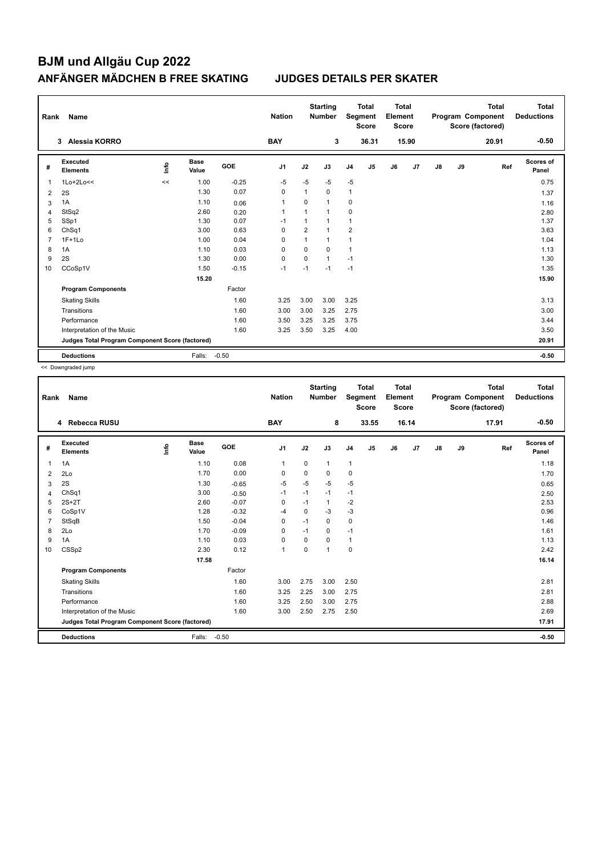| Rank           | Name                                            |    |                      |         | <b>Nation</b>  |                | <b>Starting</b><br><b>Number</b> |                | <b>Total</b><br>Segment<br><b>Score</b> | <b>Total</b><br>Element<br><b>Score</b> |       |               |    | <b>Total</b><br>Program Component<br>Score (factored) | <b>Total</b><br><b>Deductions</b> |
|----------------|-------------------------------------------------|----|----------------------|---------|----------------|----------------|----------------------------------|----------------|-----------------------------------------|-----------------------------------------|-------|---------------|----|-------------------------------------------------------|-----------------------------------|
|                | Alessia KORRO<br>$3^{\circ}$                    |    |                      |         | <b>BAY</b>     |                | 3                                |                | 36.31                                   |                                         | 15.90 |               |    | 20.91                                                 | $-0.50$                           |
| #              | Executed<br><b>Elements</b>                     | ۴  | <b>Base</b><br>Value | GOE     | J <sub>1</sub> | J2             | J3                               | J <sub>4</sub> | J <sub>5</sub>                          | J6                                      | J7    | $\mathsf{J}8$ | J9 | Ref                                                   | <b>Scores of</b><br>Panel         |
| 1              | $1$ Lo+ $2$ Lo<<                                | << | 1.00                 | $-0.25$ | -5             | $-5$           | -5                               | $-5$           |                                         |                                         |       |               |    |                                                       | 0.75                              |
| 2              | 2S                                              |    | 1.30                 | 0.07    | 0              | $\mathbf{1}$   | 0                                | 1              |                                         |                                         |       |               |    |                                                       | 1.37                              |
| 3              | 1A                                              |    | 1.10                 | 0.06    | $\mathbf{1}$   | 0              | $\mathbf{1}$                     | 0              |                                         |                                         |       |               |    |                                                       | 1.16                              |
| 4              | StSq2                                           |    | 2.60                 | 0.20    | $\overline{1}$ | $\mathbf{1}$   | $\mathbf{1}$                     | 0              |                                         |                                         |       |               |    |                                                       | 2.80                              |
| 5              | SSp1                                            |    | 1.30                 | 0.07    | $-1$           | $\mathbf{1}$   | 1                                | 1              |                                         |                                         |       |               |    |                                                       | 1.37                              |
| 6              | Ch <sub>Sq1</sub>                               |    | 3.00                 | 0.63    | 0              | $\overline{2}$ | 1                                | $\overline{2}$ |                                         |                                         |       |               |    |                                                       | 3.63                              |
| $\overline{7}$ | $1F+1Lo$                                        |    | 1.00                 | 0.04    | $\Omega$       | $\mathbf{1}$   | $\mathbf{1}$                     | 1              |                                         |                                         |       |               |    |                                                       | 1.04                              |
| 8              | 1A                                              |    | 1.10                 | 0.03    | 0              | $\mathbf 0$    | $\mathbf 0$                      | 1              |                                         |                                         |       |               |    |                                                       | 1.13                              |
| 9              | 2S                                              |    | 1.30                 | 0.00    | 0              | $\Omega$       | $\mathbf{1}$                     | $-1$           |                                         |                                         |       |               |    |                                                       | 1.30                              |
| 10             | CCoSp1V                                         |    | 1.50                 | $-0.15$ | $-1$           | $-1$           | $-1$                             | $-1$           |                                         |                                         |       |               |    |                                                       | 1.35                              |
|                |                                                 |    | 15.20                |         |                |                |                                  |                |                                         |                                         |       |               |    |                                                       | 15.90                             |
|                | <b>Program Components</b>                       |    |                      | Factor  |                |                |                                  |                |                                         |                                         |       |               |    |                                                       |                                   |
|                | <b>Skating Skills</b>                           |    |                      | 1.60    | 3.25           | 3.00           | 3.00                             | 3.25           |                                         |                                         |       |               |    |                                                       | 3.13                              |
|                | Transitions                                     |    |                      | 1.60    | 3.00           | 3.00           | 3.25                             | 2.75           |                                         |                                         |       |               |    |                                                       | 3.00                              |
|                | Performance                                     |    |                      | 1.60    | 3.50           | 3.25           | 3.25                             | 3.75           |                                         |                                         |       |               |    |                                                       | 3.44                              |
|                | Interpretation of the Music                     |    |                      | 1.60    | 3.25           | 3.50           | 3.25                             | 4.00           |                                         |                                         |       |               |    |                                                       | 3.50                              |
|                | Judges Total Program Component Score (factored) |    |                      |         |                |                |                                  |                |                                         |                                         |       |               |    |                                                       | 20.91                             |
|                | <b>Deductions</b>                               |    | Falls:               | $-0.50$ |                |                |                                  |                |                                         |                                         |       |               |    |                                                       | $-0.50$                           |

<< Downgraded jump

| Rank           | Name                                            |      |                      |         | <b>Nation</b>  |             | <b>Starting</b><br><b>Number</b> | Segment        | <b>Total</b><br><b>Score</b> | Total<br>Element<br><b>Score</b> |       |    |    | Total<br>Program Component<br>Score (factored) | <b>Total</b><br><b>Deductions</b> |
|----------------|-------------------------------------------------|------|----------------------|---------|----------------|-------------|----------------------------------|----------------|------------------------------|----------------------------------|-------|----|----|------------------------------------------------|-----------------------------------|
|                | 4 Rebecca RUSU                                  |      |                      |         | <b>BAY</b>     |             | 8                                |                | 33.55                        |                                  | 16.14 |    |    | 17.91                                          | $-0.50$                           |
| #              | Executed<br><b>Elements</b>                     | Info | <b>Base</b><br>Value | GOE     | J <sub>1</sub> | J2          | J3                               | J <sub>4</sub> | J5                           | J6                               | J7    | J8 | J9 | Ref                                            | <b>Scores of</b><br>Panel         |
| $\mathbf{1}$   | 1A                                              |      | 1.10                 | 0.08    | $\mathbf{1}$   | $\mathbf 0$ | $\mathbf{1}$                     | $\mathbf{1}$   |                              |                                  |       |    |    |                                                | 1.18                              |
| 2              | 2Lo                                             |      | 1.70                 | 0.00    | $\mathbf 0$    | $\mathbf 0$ | 0                                | $\mathbf 0$    |                              |                                  |       |    |    |                                                | 1.70                              |
| 3              | 2S                                              |      | 1.30                 | $-0.65$ | $-5$           | $-5$        | $-5$                             | $-5$           |                              |                                  |       |    |    |                                                | 0.65                              |
| $\overline{4}$ | ChSq1                                           |      | 3.00                 | $-0.50$ | $-1$           | $-1$        | $-1$                             | $-1$           |                              |                                  |       |    |    |                                                | 2.50                              |
| 5              | $2S+2T$                                         |      | 2.60                 | $-0.07$ | $\mathbf 0$    | $-1$        | $\mathbf{1}$                     | $-2$           |                              |                                  |       |    |    |                                                | 2.53                              |
| 6              | CoSp1V                                          |      | 1.28                 | $-0.32$ | -4             | $\mathbf 0$ | $-3$                             | $-3$           |                              |                                  |       |    |    |                                                | 0.96                              |
| $\overline{7}$ | StSqB                                           |      | 1.50                 | $-0.04$ | $\mathbf 0$    | $-1$        | 0                                | $\mathbf 0$    |                              |                                  |       |    |    |                                                | 1.46                              |
| 8              | 2Lo                                             |      | 1.70                 | $-0.09$ | 0              | $-1$        | 0                                | $-1$           |                              |                                  |       |    |    |                                                | 1.61                              |
| 9              | 1A                                              |      | 1.10                 | 0.03    | 0              | $\Omega$    | 0                                | $\mathbf{1}$   |                              |                                  |       |    |    |                                                | 1.13                              |
| 10             | CSSp2                                           |      | 2.30                 | 0.12    | $\mathbf{1}$   | $\mathbf 0$ | $\mathbf{1}$                     | $\pmb{0}$      |                              |                                  |       |    |    |                                                | 2.42                              |
|                |                                                 |      | 17.58                |         |                |             |                                  |                |                              |                                  |       |    |    |                                                | 16.14                             |
|                | <b>Program Components</b>                       |      |                      | Factor  |                |             |                                  |                |                              |                                  |       |    |    |                                                |                                   |
|                | <b>Skating Skills</b>                           |      |                      | 1.60    | 3.00           | 2.75        | 3.00                             | 2.50           |                              |                                  |       |    |    |                                                | 2.81                              |
|                | Transitions                                     |      |                      | 1.60    | 3.25           | 2.25        | 3.00                             | 2.75           |                              |                                  |       |    |    |                                                | 2.81                              |
|                | Performance                                     |      |                      | 1.60    | 3.25           | 2.50        | 3.00                             | 2.75           |                              |                                  |       |    |    |                                                | 2.88                              |
|                | Interpretation of the Music                     |      |                      | 1.60    | 3.00           | 2.50        | 2.75                             | 2.50           |                              |                                  |       |    |    |                                                | 2.69                              |
|                | Judges Total Program Component Score (factored) |      |                      |         |                |             |                                  |                |                              |                                  |       |    |    |                                                | 17.91                             |
|                | <b>Deductions</b>                               |      | Falls:               | $-0.50$ |                |             |                                  |                |                              |                                  |       |    |    |                                                | $-0.50$                           |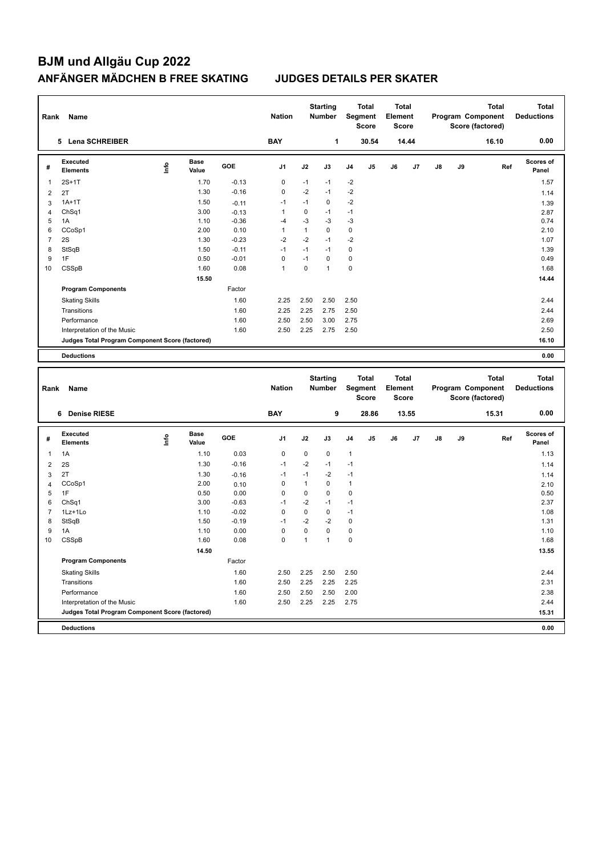| Rank           | Name                                                                           |      |                      |         | <b>Nation</b> |              | <b>Starting</b><br><b>Number</b> |             | <b>Total</b><br>Segment<br><b>Score</b>        | <b>Total</b><br>Element                 | <b>Score</b> |    |    | Program Component<br>Score (factored) | <b>Total</b> | <b>Total</b><br><b>Deductions</b> |
|----------------|--------------------------------------------------------------------------------|------|----------------------|---------|---------------|--------------|----------------------------------|-------------|------------------------------------------------|-----------------------------------------|--------------|----|----|---------------------------------------|--------------|-----------------------------------|
|                | 5 Lena SCHREIBER                                                               |      |                      |         | <b>BAY</b>    |              | $\mathbf{1}$                     |             | 30.54                                          |                                         | 14.44        |    |    |                                       | 16.10        | 0.00                              |
| #              | <b>Executed</b><br><b>Elements</b>                                             | ۴    | <b>Base</b><br>Value | GOE     | J1            | J2           | J3                               | J4          | J5                                             | J6                                      | J7           | J8 | J9 |                                       | Ref          | <b>Scores of</b><br>Panel         |
| 1              | $2S+1T$                                                                        |      | 1.70                 | $-0.13$ | 0             | $-1$         | $-1$                             | $-2$        |                                                |                                         |              |    |    |                                       |              | 1.57                              |
| $\overline{2}$ | 2T                                                                             |      | 1.30                 | $-0.16$ | 0             | $-2$         | $-1$                             | $-2$        |                                                |                                         |              |    |    |                                       |              | 1.14                              |
| 3              | $1A+1T$                                                                        |      | 1.50                 | $-0.11$ | $-1$          | $-1$         | $\mathbf 0$                      | $-2$        |                                                |                                         |              |    |    |                                       |              | 1.39                              |
| $\overline{4}$ | ChSq1                                                                          |      | 3.00                 | $-0.13$ | 1             | 0            | $-1$                             | $-1$        |                                                |                                         |              |    |    |                                       |              | 2.87                              |
| 5              | 1A                                                                             |      | 1.10                 | $-0.36$ | $-4$          | $-3$         | $-3$                             | $-3$        |                                                |                                         |              |    |    |                                       |              | 0.74                              |
| 6              | CCoSp1                                                                         |      | 2.00                 | 0.10    | $\mathbf{1}$  | $\mathbf{1}$ | $\mathbf 0$                      | $\mathbf 0$ |                                                |                                         |              |    |    |                                       |              | 2.10                              |
| $\overline{7}$ | 2S                                                                             |      | 1.30                 | $-0.23$ | $-2$          | $-2$         | $-1$                             | $-2$        |                                                |                                         |              |    |    |                                       |              | 1.07                              |
| 8              | StSqB                                                                          |      | 1.50                 | $-0.11$ | $-1$          | $-1$         | $-1$                             | $\mathbf 0$ |                                                |                                         |              |    |    |                                       |              | 1.39                              |
| 9              | 1F                                                                             |      | 0.50                 | $-0.01$ | 0             | $-1$         | $\mathbf 0$                      | $\mathbf 0$ |                                                |                                         |              |    |    |                                       |              | 0.49                              |
| 10             | CSSpB                                                                          |      | 1.60                 | 0.08    | $\mathbf{1}$  | $\mathbf 0$  | $\mathbf{1}$                     | $\mathbf 0$ |                                                |                                         |              |    |    |                                       |              | 1.68                              |
|                |                                                                                |      | 15.50                |         |               |              |                                  |             |                                                |                                         |              |    |    |                                       |              | 14.44                             |
|                | <b>Program Components</b>                                                      |      |                      | Factor  |               |              |                                  |             |                                                |                                         |              |    |    |                                       |              |                                   |
|                | <b>Skating Skills</b>                                                          |      |                      | 1.60    | 2.25          | 2.50         | 2.50                             | 2.50        |                                                |                                         |              |    |    |                                       |              | 2.44                              |
|                | Transitions                                                                    |      |                      | 1.60    | 2.25          | 2.25         | 2.75                             | 2.50        |                                                |                                         |              |    |    |                                       |              | 2.44                              |
|                | Performance                                                                    |      |                      | 1.60    | 2.50          | 2.50         | 3.00                             | 2.75        |                                                |                                         |              |    |    |                                       |              | 2.69                              |
|                | Interpretation of the Music                                                    |      |                      | 1.60    | 2.50          | 2.25         | 2.75                             | 2.50        |                                                |                                         |              |    |    |                                       |              | 2.50                              |
|                | Judges Total Program Component Score (factored)                                |      |                      |         |               |              |                                  |             |                                                |                                         |              |    |    |                                       |              | 16.10                             |
|                | <b>Deductions</b>                                                              |      |                      |         |               |              |                                  |             |                                                |                                         |              |    |    |                                       |              | 0.00                              |
|                |                                                                                |      |                      |         |               |              |                                  |             |                                                |                                         |              |    |    |                                       |              |                                   |
|                |                                                                                |      |                      |         |               |              |                                  |             |                                                |                                         |              |    |    |                                       |              |                                   |
| Rank           | Name                                                                           |      |                      |         | <b>Nation</b> |              | <b>Starting</b><br><b>Number</b> |             | <b>Total</b><br><b>Segment</b><br><b>Score</b> | <b>Total</b><br>Element<br><b>Score</b> |              |    |    | Program Component                     | <b>Total</b> | <b>Total</b><br><b>Deductions</b> |
|                | 6 Denise RIESE                                                                 |      |                      |         | <b>BAY</b>    |              | 9                                |             | 28.86                                          |                                         | 13.55        |    |    | Score (factored)                      | 15.31        | 0.00                              |
|                |                                                                                |      |                      |         |               |              |                                  |             |                                                |                                         |              |    |    |                                       |              |                                   |
| #              | <b>Executed</b><br><b>Elements</b>                                             | ١mfo | <b>Base</b><br>Value | GOE     | J1            | J2           | J3                               | J4          | J5                                             | J6                                      | J7           | J8 | J9 |                                       | Ref          | Scores of<br>Panel                |
| 1              | 1A                                                                             |      | 1.10                 | 0.03    | $\pmb{0}$     | 0            | $\pmb{0}$                        | 1           |                                                |                                         |              |    |    |                                       |              | 1.13                              |
| $\overline{2}$ | 2S                                                                             |      | 1.30                 | $-0.16$ | $-1$          | $-2$         | $-1$                             | $-1$        |                                                |                                         |              |    |    |                                       |              | 1.14                              |
| 3              | 2T                                                                             |      | 1.30                 | $-0.16$ | $-1$          | $-1$         | $-2$                             | $-1$        |                                                |                                         |              |    |    |                                       |              | 1.14                              |
| $\overline{4}$ | CCoSp1                                                                         |      | 2.00                 | 0.10    | $\pmb{0}$     | $\mathbf{1}$ | $\mathbf 0$                      | 1           |                                                |                                         |              |    |    |                                       |              | 2.10                              |
| 5              | 1F                                                                             |      | 0.50                 | 0.00    | 0             | $\mathbf 0$  | $\mathbf 0$                      | $\mathbf 0$ |                                                |                                         |              |    |    |                                       |              | 0.50                              |
| 6              | ChSq1                                                                          |      | 3.00                 | $-0.63$ | $-1$          | $-2$         | $-1$                             | $-1$        |                                                |                                         |              |    |    |                                       |              | 2.37                              |
| $\overline{7}$ | 1Lz+1Lo                                                                        |      | 1.10                 | $-0.02$ | $\pmb{0}$     | 0            | 0                                | $-1$        |                                                |                                         |              |    |    |                                       |              | 1.08                              |
| 8              | StSqB                                                                          |      | 1.50                 | $-0.19$ | $-1$          | $-2$         | $-2$                             | $\mathbf 0$ |                                                |                                         |              |    |    |                                       |              | 1.31                              |
| 9              | 1A                                                                             |      | 1.10                 | 0.00    | $\pmb{0}$     | 0            | $\mathbf 0$                      | $\mathbf 0$ |                                                |                                         |              |    |    |                                       |              | 1.10                              |
| 10             | CSSpB                                                                          |      | 1.60                 | 0.08    | 0             | $\mathbf{1}$ | $\mathbf{1}$                     | $\mathbf 0$ |                                                |                                         |              |    |    |                                       |              | 1.68                              |
|                |                                                                                |      | 14.50                |         |               |              |                                  |             |                                                |                                         |              |    |    |                                       |              | 13.55                             |
|                | <b>Program Components</b>                                                      |      |                      | Factor  |               |              |                                  |             |                                                |                                         |              |    |    |                                       |              |                                   |
|                | <b>Skating Skills</b>                                                          |      |                      | 1.60    | 2.50          | 2.25         | 2.50                             | 2.50        |                                                |                                         |              |    |    |                                       |              | 2.44                              |
|                | Transitions                                                                    |      |                      | 1.60    | 2.50          | 2.25         | 2.25                             | 2.25        |                                                |                                         |              |    |    |                                       |              | 2.31                              |
|                | Performance                                                                    |      |                      | 1.60    | 2.50          | 2.50         | 2.50                             | 2.00        |                                                |                                         |              |    |    |                                       |              | 2.38                              |
|                | Interpretation of the Music<br>Judges Total Program Component Score (factored) |      |                      | 1.60    | 2.50          | 2.25         | 2.25                             | 2.75        |                                                |                                         |              |    |    |                                       |              | 2.44<br>15.31                     |

**Deductions 0.00**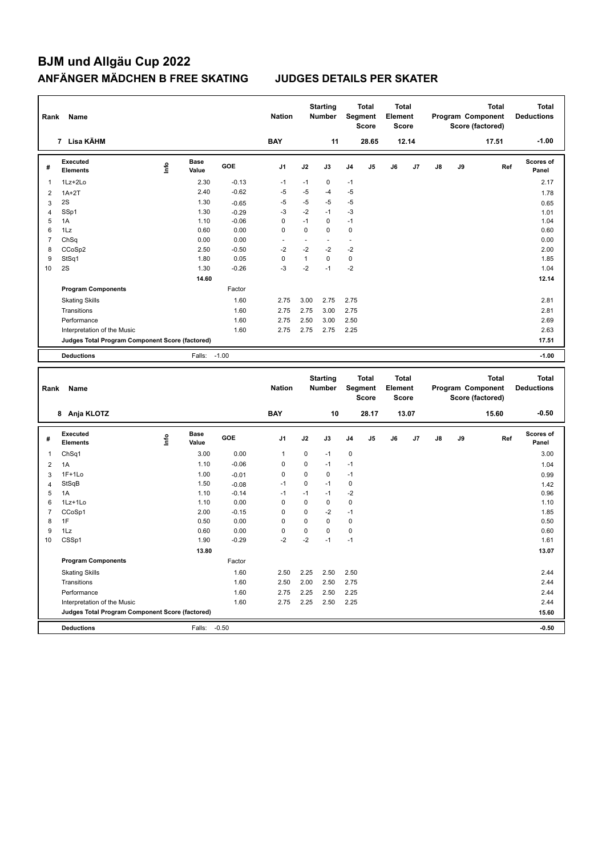| Rank           | Name                                            |    |                      |         | <b>Nation</b>  |              | <b>Starting</b><br><b>Number</b> |                | <b>Total</b><br>Segment<br><b>Score</b>        | Total<br>Element<br><b>Score</b> |       |               |    | <b>Total</b><br>Program Component<br>Score (factored) | <b>Total</b><br><b>Deductions</b> |
|----------------|-------------------------------------------------|----|----------------------|---------|----------------|--------------|----------------------------------|----------------|------------------------------------------------|----------------------------------|-------|---------------|----|-------------------------------------------------------|-----------------------------------|
|                | 7 Lisa KÄHM                                     |    |                      |         | <b>BAY</b>     |              | 11                               |                | 28.65                                          |                                  | 12.14 |               |    | 17.51                                                 | $-1.00$                           |
| #              | Executed<br><b>Elements</b>                     | ۴ů | <b>Base</b><br>Value | GOE     | J <sub>1</sub> | J2           | J3                               | J <sub>4</sub> | J5                                             | J6                               | J7    | J8            | J9 | Ref                                                   | Scores of<br>Panel                |
| $\mathbf 1$    | 1Lz+2Lo                                         |    | 2.30                 | $-0.13$ | $-1$           | $-1$         | 0                                | $-1$           |                                                |                                  |       |               |    |                                                       | 2.17                              |
| $\overline{2}$ | $1A+2T$                                         |    | 2.40                 | $-0.62$ | $-5$           | $-5$         | $-4$                             | $-5$           |                                                |                                  |       |               |    |                                                       | 1.78                              |
| 3              | 2S                                              |    | 1.30                 | $-0.65$ | $-5$           | $-5$         | $-5$                             | $-5$           |                                                |                                  |       |               |    |                                                       | 0.65                              |
| $\overline{4}$ | SSp1                                            |    | 1.30                 | $-0.29$ | $-3$           | $-2$         | $-1$                             | $-3$           |                                                |                                  |       |               |    |                                                       | 1.01                              |
| 5              | 1A                                              |    | 1.10                 | $-0.06$ | $\mathbf 0$    | $-1$         | $\mathbf 0$                      | $-1$           |                                                |                                  |       |               |    |                                                       | 1.04                              |
| 6              | 1Lz                                             |    | 0.60                 | 0.00    | $\Omega$       | $\Omega$     | $\Omega$                         | $\mathbf 0$    |                                                |                                  |       |               |    |                                                       | 0.60                              |
| $\overline{7}$ | ChSq                                            |    | 0.00                 | 0.00    |                | ٠            | $\blacksquare$                   |                |                                                |                                  |       |               |    |                                                       | 0.00                              |
| 8              | CCoSp2                                          |    | 2.50                 | $-0.50$ | $-2$           | $-2$         | $-2$                             | $-2$           |                                                |                                  |       |               |    |                                                       | 2.00                              |
| 9              | StSq1                                           |    | 1.80                 | 0.05    | $\mathbf 0$    | $\mathbf{1}$ | $\mathbf 0$                      | $\mathbf 0$    |                                                |                                  |       |               |    |                                                       | 1.85                              |
| 10             | 2S                                              |    | 1.30                 | $-0.26$ | $-3$           | $-2$         | $-1$                             | $-2$           |                                                |                                  |       |               |    |                                                       | 1.04                              |
|                |                                                 |    | 14.60                |         |                |              |                                  |                |                                                |                                  |       |               |    |                                                       | 12.14                             |
|                | <b>Program Components</b>                       |    |                      | Factor  |                |              |                                  |                |                                                |                                  |       |               |    |                                                       |                                   |
|                | <b>Skating Skills</b>                           |    |                      | 1.60    | 2.75           | 3.00         | 2.75                             | 2.75           |                                                |                                  |       |               |    |                                                       | 2.81                              |
|                | Transitions                                     |    |                      | 1.60    | 2.75           | 2.75         | 3.00                             | 2.75           |                                                |                                  |       |               |    |                                                       | 2.81                              |
|                | Performance                                     |    |                      | 1.60    | 2.75           | 2.50         | 3.00                             | 2.50           |                                                |                                  |       |               |    |                                                       | 2.69                              |
|                | Interpretation of the Music                     |    |                      | 1.60    | 2.75           | 2.75         | 2.75                             | 2.25           |                                                |                                  |       |               |    |                                                       | 2.63                              |
|                | Judges Total Program Component Score (factored) |    |                      |         |                |              |                                  |                |                                                |                                  |       |               |    |                                                       | 17.51                             |
|                | <b>Deductions</b>                               |    | Falls: -1.00         |         |                |              |                                  |                |                                                |                                  |       |               |    |                                                       | $-1.00$                           |
|                |                                                 |    |                      |         |                |              |                                  |                |                                                |                                  |       |               |    |                                                       |                                   |
| Rank           | Name                                            |    |                      |         | <b>Nation</b>  |              | <b>Starting</b><br><b>Number</b> |                | <b>Total</b><br><b>Segment</b><br><b>Score</b> | Total<br>Element<br><b>Score</b> |       |               |    | <b>Total</b><br>Program Component<br>Score (factored) | <b>Total</b><br><b>Deductions</b> |
|                | 8 Anja KLOTZ                                    |    |                      |         | <b>BAY</b>     |              | 10                               |                | 28.17                                          |                                  | 13.07 |               |    | 15.60                                                 | $-0.50$                           |
| #              | Executed<br><b>Elements</b>                     | ١m | <b>Base</b><br>Value | GOE     | J <sub>1</sub> | J2           | J3                               | J4             | J5                                             | J6                               | J7    | $\mathsf{J}8$ | J9 | Ref                                                   | Scores of<br>Panel                |
| $\mathbf{1}$   | ChSq1                                           |    | 3.00                 | 0.00    | 1              | 0            | $-1$                             | 0              |                                                |                                  |       |               |    |                                                       | 3.00                              |
| $\overline{2}$ | 1A                                              |    | 1.10                 | $-0.06$ | $\mathbf 0$    | $\mathbf 0$  | $-1$                             | $-1$           |                                                |                                  |       |               |    |                                                       | 1.04                              |
| 3              | $1F+1Lo$                                        |    | 1.00                 | $-0.01$ | $\Omega$       | $\Omega$     | $\Omega$                         | $-1$           |                                                |                                  |       |               |    |                                                       | 0.99                              |

 StSqB 1.50 -0.08 -1 0 -1 0 1.42 1.10 -0.14 -1 -1 -1 -2<br>
5 1A 1.10 -0.14 -1 -1 -2<br>
5 1Lz+1Lo 1.10 0.00 0 0 0 0<br>
7 CCoSp1 2.00 -0.15 0 0 -2 -1 1.85 1Lz+1Lo 1.10 0.00 0 0 0 0 1.10 CCoSp1 2.00 -0.15 0 0 -2 -1 1.85 1F 0.50 0.00 0 0 0 0 0.50 1Lz 0.60 0.00 0 0 0 0 0.60 CSSp1 1.90 -0.29 -2 -2 -1 -1 1.61

Skating Skills 2.50 2.25 2.50 2.50 1.60 2.44

 **13.80** 13.07

Transitions 1.60 2.50 2.00 2.50 2.75 2.44 Performance 2.44 2.44 2.44 2.75 2.25 2.50 2.25 Interpretation of the Music 2.44 2.44 2.75 2.25 2.25 2.25 2.25 2.96 2.25 **Judges Total Program Component Score (factored) 15.60**

**Program Components** 

**Deductions** Falls: -0.50 **-0.50**

Factor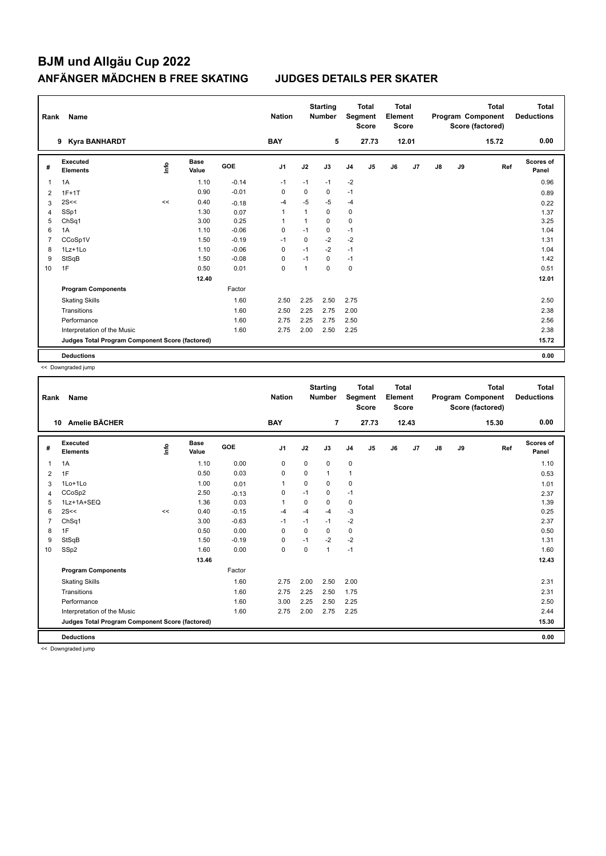| Rank | Name                                            |    |                      |         | <b>Nation</b>  |              | <b>Starting</b><br><b>Number</b> |                | Total<br>Segment<br><b>Score</b> | Total<br>Element<br>Score |       |               |    | <b>Total</b><br>Program Component<br>Score (factored) | Total<br><b>Deductions</b> |
|------|-------------------------------------------------|----|----------------------|---------|----------------|--------------|----------------------------------|----------------|----------------------------------|---------------------------|-------|---------------|----|-------------------------------------------------------|----------------------------|
|      | <b>Kyra BANHARDT</b><br>9                       |    |                      |         | <b>BAY</b>     |              | 5                                |                | 27.73                            |                           | 12.01 |               |    | 15.72                                                 | 0.00                       |
| #    | <b>Executed</b><br><b>Elements</b>              | ۴ů | <b>Base</b><br>Value | GOE     | J <sub>1</sub> | J2           | J3                               | J <sub>4</sub> | J <sub>5</sub>                   | J6                        | J7    | $\mathsf{J}8$ | J9 | Ref                                                   | <b>Scores of</b><br>Panel  |
| 1    | 1A                                              |    | 1.10                 | $-0.14$ | $-1$           | $-1$         | $-1$                             | $-2$           |                                  |                           |       |               |    |                                                       | 0.96                       |
| 2    | $1F+1T$                                         |    | 0.90                 | $-0.01$ | 0              | 0            | 0                                | $-1$           |                                  |                           |       |               |    |                                                       | 0.89                       |
| 3    | 2S<<                                            | << | 0.40                 | $-0.18$ | $-4$           | $-5$         | $-5$                             | $-4$           |                                  |                           |       |               |    |                                                       | 0.22                       |
| 4    | SSp1                                            |    | 1.30                 | 0.07    | $\overline{1}$ | $\mathbf{1}$ | $\mathbf 0$                      | 0              |                                  |                           |       |               |    |                                                       | 1.37                       |
| 5    | ChSq1                                           |    | 3.00                 | 0.25    | 1              |              | $\Omega$                         | 0              |                                  |                           |       |               |    |                                                       | 3.25                       |
| 6    | 1A                                              |    | 1.10                 | $-0.06$ | 0              | $-1$         | 0                                | $-1$           |                                  |                           |       |               |    |                                                       | 1.04                       |
| 7    | CCoSp1V                                         |    | 1.50                 | $-0.19$ | $-1$           | $\mathbf 0$  | $-2$                             | $-2$           |                                  |                           |       |               |    |                                                       | 1.31                       |
| 8    | 1Lz+1Lo                                         |    | 1.10                 | $-0.06$ | 0              | $-1$         | $-2$                             | $-1$           |                                  |                           |       |               |    |                                                       | 1.04                       |
| 9    | StSqB                                           |    | 1.50                 | $-0.08$ | 0              | $-1$         | 0                                | $-1$           |                                  |                           |       |               |    |                                                       | 1.42                       |
| 10   | 1F                                              |    | 0.50                 | 0.01    | $\mathbf 0$    | $\mathbf{1}$ | $\Omega$                         | $\mathbf 0$    |                                  |                           |       |               |    |                                                       | 0.51                       |
|      |                                                 |    | 12.40                |         |                |              |                                  |                |                                  |                           |       |               |    |                                                       | 12.01                      |
|      | <b>Program Components</b>                       |    |                      | Factor  |                |              |                                  |                |                                  |                           |       |               |    |                                                       |                            |
|      | <b>Skating Skills</b>                           |    |                      | 1.60    | 2.50           | 2.25         | 2.50                             | 2.75           |                                  |                           |       |               |    |                                                       | 2.50                       |
|      | Transitions                                     |    |                      | 1.60    | 2.50           | 2.25         | 2.75                             | 2.00           |                                  |                           |       |               |    |                                                       | 2.38                       |
|      | Performance                                     |    |                      | 1.60    | 2.75           | 2.25         | 2.75                             | 2.50           |                                  |                           |       |               |    |                                                       | 2.56                       |
|      | Interpretation of the Music                     |    |                      | 1.60    | 2.75           | 2.00         | 2.50                             | 2.25           |                                  |                           |       |               |    |                                                       | 2.38                       |
|      | Judges Total Program Component Score (factored) |    |                      |         |                |              |                                  |                |                                  |                           |       |               |    |                                                       | 15.72                      |
|      | <b>Deductions</b>                               |    |                      |         |                |              |                                  |                |                                  |                           |       |               |    |                                                       | 0.00                       |

<< Downgraded jump

| Rank           | Name                                            |      |                      |         | <b>Nation</b>  |             | <b>Starting</b><br><b>Number</b> | Segment        | <b>Total</b><br><b>Score</b> | <b>Total</b><br>Element<br><b>Score</b> |       |               |    | <b>Total</b><br>Program Component<br>Score (factored) | <b>Total</b><br><b>Deductions</b> |
|----------------|-------------------------------------------------|------|----------------------|---------|----------------|-------------|----------------------------------|----------------|------------------------------|-----------------------------------------|-------|---------------|----|-------------------------------------------------------|-----------------------------------|
|                | 10 Amelie BÄCHER                                |      |                      |         | <b>BAY</b>     |             | $\overline{7}$                   |                | 27.73                        |                                         | 12.43 |               |    | 15.30                                                 | 0.00                              |
| #              | Executed<br><b>Elements</b>                     | lnfo | <b>Base</b><br>Value | GOE     | J1             | J2          | J3                               | J <sub>4</sub> | J5                           | J6                                      | J7    | $\mathsf{J}8$ | J9 | Ref                                                   | Scores of<br>Panel                |
| 1              | 1A                                              |      | 1.10                 | 0.00    | $\pmb{0}$      | $\mathbf 0$ | 0                                | $\mathbf 0$    |                              |                                         |       |               |    |                                                       | 1.10                              |
| 2              | 1F                                              |      | 0.50                 | 0.03    | $\mathbf 0$    | $\mathbf 0$ | 1                                | $\mathbf{1}$   |                              |                                         |       |               |    |                                                       | 0.53                              |
| 3              | 1Lo+1Lo                                         |      | 1.00                 | 0.01    | $\overline{1}$ | 0           | 0                                | $\mathbf 0$    |                              |                                         |       |               |    |                                                       | 1.01                              |
| 4              | CCoSp2                                          |      | 2.50                 | $-0.13$ | 0              | $-1$        | 0                                | $-1$           |                              |                                         |       |               |    |                                                       | 2.37                              |
| 5              | 1Lz+1A+SEQ                                      |      | 1.36                 | 0.03    | $\overline{1}$ | 0           | 0                                | $\mathbf 0$    |                              |                                         |       |               |    |                                                       | 1.39                              |
| 6              | 2S<<                                            | <<   | 0.40                 | $-0.15$ | -4             | $-4$        | $-4$                             | $-3$           |                              |                                         |       |               |    |                                                       | 0.25                              |
| $\overline{7}$ | ChSq1                                           |      | 3.00                 | $-0.63$ | $-1$           | $-1$        | $-1$                             | $-2$           |                              |                                         |       |               |    |                                                       | 2.37                              |
| 8              | 1F                                              |      | 0.50                 | 0.00    | $\Omega$       | 0           | 0                                | $\mathbf 0$    |                              |                                         |       |               |    |                                                       | 0.50                              |
| 9              | StSqB                                           |      | 1.50                 | $-0.19$ | 0              | $-1$        | $-2$                             | $-2$           |                              |                                         |       |               |    |                                                       | 1.31                              |
| 10             | SSp2                                            |      | 1.60                 | 0.00    | 0              | 0           | 1                                | $-1$           |                              |                                         |       |               |    |                                                       | 1.60                              |
|                |                                                 |      | 13.46                |         |                |             |                                  |                |                              |                                         |       |               |    |                                                       | 12.43                             |
|                | <b>Program Components</b>                       |      |                      | Factor  |                |             |                                  |                |                              |                                         |       |               |    |                                                       |                                   |
|                | <b>Skating Skills</b>                           |      |                      | 1.60    | 2.75           | 2.00        | 2.50                             | 2.00           |                              |                                         |       |               |    |                                                       | 2.31                              |
|                | Transitions                                     |      |                      | 1.60    | 2.75           | 2.25        | 2.50                             | 1.75           |                              |                                         |       |               |    |                                                       | 2.31                              |
|                | Performance                                     |      |                      | 1.60    | 3.00           | 2.25        | 2.50                             | 2.25           |                              |                                         |       |               |    |                                                       | 2.50                              |
|                | Interpretation of the Music                     |      |                      | 1.60    | 2.75           | 2.00        | 2.75                             | 2.25           |                              |                                         |       |               |    |                                                       | 2.44                              |
|                | Judges Total Program Component Score (factored) |      |                      |         |                |             |                                  |                |                              |                                         |       |               |    |                                                       | 15.30                             |
|                |                                                 |      |                      |         |                |             |                                  |                |                              |                                         |       |               |    |                                                       |                                   |
|                | <b>Deductions</b>                               |      |                      |         |                |             |                                  |                |                              |                                         |       |               |    |                                                       | 0.00                              |

<< Downgraded jump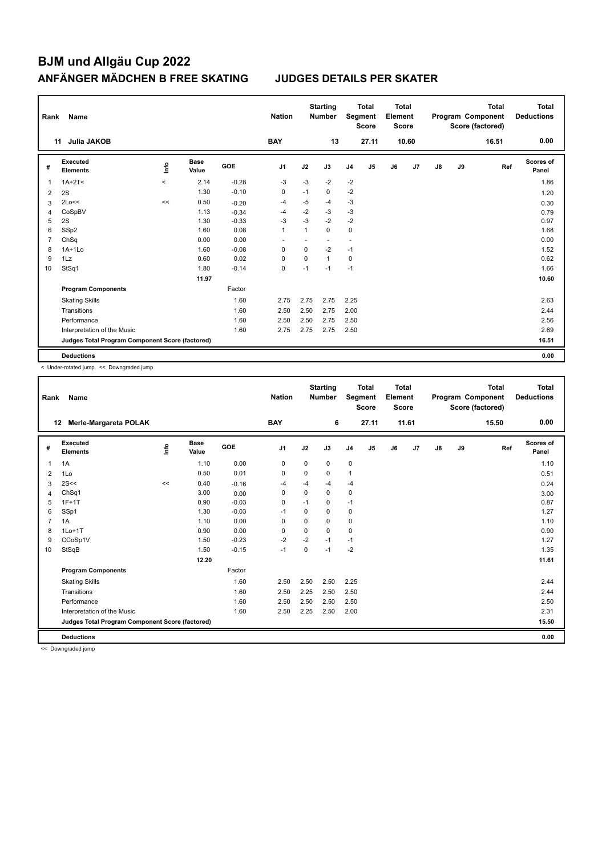| Rank           | Name                                            |           |                      |         | <b>Nation</b>  |              | <b>Starting</b><br><b>Number</b> |                | <b>Total</b><br>Segment<br><b>Score</b> | <b>Total</b><br>Element<br><b>Score</b> |       |               |    | <b>Total</b><br>Program Component<br>Score (factored) | Total<br><b>Deductions</b> |
|----------------|-------------------------------------------------|-----------|----------------------|---------|----------------|--------------|----------------------------------|----------------|-----------------------------------------|-----------------------------------------|-------|---------------|----|-------------------------------------------------------|----------------------------|
|                | Julia JAKOB<br>11                               |           |                      |         | <b>BAY</b>     |              | 13                               |                | 27.11                                   |                                         | 10.60 |               |    | 16.51                                                 | 0.00                       |
| #              | Executed<br><b>Elements</b>                     | ١nfo      | <b>Base</b><br>Value | GOE     | J <sub>1</sub> | J2           | J3                               | J <sub>4</sub> | J <sub>5</sub>                          | J6                                      | J7    | $\mathsf{J}8$ | J9 | Ref                                                   | <b>Scores of</b><br>Panel  |
| 1              | $1A+2T2$                                        | $\hat{~}$ | 2.14                 | $-0.28$ | $-3$           | $-3$         | $-2$                             | $-2$           |                                         |                                         |       |               |    |                                                       | 1.86                       |
| $\overline{2}$ | 2S                                              |           | 1.30                 | $-0.10$ | 0              | $-1$         | $\mathbf 0$                      | $-2$           |                                         |                                         |       |               |    |                                                       | 1.20                       |
| 3              | 2Lo<<                                           | <<        | 0.50                 | $-0.20$ | $-4$           | $-5$         | $-4$                             | $-3$           |                                         |                                         |       |               |    |                                                       | 0.30                       |
| 4              | CoSpBV                                          |           | 1.13                 | $-0.34$ | $-4$           | $-2$         | $-3$                             | $-3$           |                                         |                                         |       |               |    |                                                       | 0.79                       |
| 5              | 2S                                              |           | 1.30                 | $-0.33$ | $-3$           | $-3$         | $-2$                             | $-2$           |                                         |                                         |       |               |    |                                                       | 0.97                       |
| 6              | SSp2                                            |           | 1.60                 | 0.08    | $\mathbf{1}$   | $\mathbf{1}$ | $\Omega$                         | 0              |                                         |                                         |       |               |    |                                                       | 1.68                       |
| 7              | ChSq                                            |           | 0.00                 | 0.00    |                |              | $\overline{\phantom{a}}$         | $\sim$         |                                         |                                         |       |               |    |                                                       | 0.00                       |
| 8              | $1A+1Lo$                                        |           | 1.60                 | $-0.08$ | 0              | 0            | $-2$                             | $-1$           |                                         |                                         |       |               |    |                                                       | 1.52                       |
| 9              | 1Lz                                             |           | 0.60                 | 0.02    | 0              | 0            | $\mathbf{1}$                     | 0              |                                         |                                         |       |               |    |                                                       | 0.62                       |
| 10             | StSq1                                           |           | 1.80                 | $-0.14$ | 0              | $-1$         | $-1$                             | $-1$           |                                         |                                         |       |               |    |                                                       | 1.66                       |
|                |                                                 |           | 11.97                |         |                |              |                                  |                |                                         |                                         |       |               |    |                                                       | 10.60                      |
|                | <b>Program Components</b>                       |           |                      | Factor  |                |              |                                  |                |                                         |                                         |       |               |    |                                                       |                            |
|                | <b>Skating Skills</b>                           |           |                      | 1.60    | 2.75           | 2.75         | 2.75                             | 2.25           |                                         |                                         |       |               |    |                                                       | 2.63                       |
|                | Transitions                                     |           |                      | 1.60    | 2.50           | 2.50         | 2.75                             | 2.00           |                                         |                                         |       |               |    |                                                       | 2.44                       |
|                | Performance                                     |           |                      | 1.60    | 2.50           | 2.50         | 2.75                             | 2.50           |                                         |                                         |       |               |    |                                                       | 2.56                       |
|                | Interpretation of the Music                     |           |                      | 1.60    | 2.75           | 2.75         | 2.75                             | 2.50           |                                         |                                         |       |               |    |                                                       | 2.69                       |
|                | Judges Total Program Component Score (factored) |           |                      |         |                |              |                                  |                |                                         |                                         |       |               |    |                                                       | 16.51                      |
|                | <b>Deductions</b>                               |           |                      |         |                |              |                                  |                |                                         |                                         |       |               |    |                                                       | 0.00                       |

< Under-rotated jump << Downgraded jump

| Rank           | Name                                            |      |                      |         | <b>Nation</b>  |             | <b>Starting</b><br><b>Number</b> |                | <b>Total</b><br>Segment<br><b>Score</b> | <b>Total</b><br>Element<br><b>Score</b> |                |    |    | <b>Total</b><br>Program Component<br>Score (factored) | <b>Total</b><br><b>Deductions</b> |
|----------------|-------------------------------------------------|------|----------------------|---------|----------------|-------------|----------------------------------|----------------|-----------------------------------------|-----------------------------------------|----------------|----|----|-------------------------------------------------------|-----------------------------------|
|                | Merle-Margareta POLAK<br>12                     |      |                      |         | <b>BAY</b>     |             | 6                                |                | 27.11                                   |                                         | 11.61          |    |    | 15.50                                                 | 0.00                              |
| #              | Executed<br><b>Elements</b>                     | ١rfo | <b>Base</b><br>Value | GOE     | J <sub>1</sub> | J2          | J3                               | J <sub>4</sub> | J <sub>5</sub>                          | J6                                      | J <sub>7</sub> | J8 | J9 | Ref                                                   | Scores of<br>Panel                |
| 1              | 1A                                              |      | 1.10                 | 0.00    | 0              | $\mathbf 0$ | $\mathbf 0$                      | $\pmb{0}$      |                                         |                                         |                |    |    |                                                       | 1.10                              |
| 2              | 1Lo                                             |      | 0.50                 | 0.01    | 0              | $\mathbf 0$ | $\Omega$                         | $\mathbf{1}$   |                                         |                                         |                |    |    |                                                       | 0.51                              |
| 3              | 2S<<                                            | <<   | 0.40                 | $-0.16$ | -4             | $-4$        | $-4$                             | $-4$           |                                         |                                         |                |    |    |                                                       | 0.24                              |
| 4              | ChSq1                                           |      | 3.00                 | 0.00    | 0              | $\Omega$    | $\mathbf 0$                      | $\mathbf 0$    |                                         |                                         |                |    |    |                                                       | 3.00                              |
| 5              | $1F+1T$                                         |      | 0.90                 | $-0.03$ | 0              | $-1$        | 0                                | $-1$           |                                         |                                         |                |    |    |                                                       | 0.87                              |
| 6              | SSp1                                            |      | 1.30                 | $-0.03$ | $-1$           | $\Omega$    | $\Omega$                         | $\mathbf 0$    |                                         |                                         |                |    |    |                                                       | 1.27                              |
| $\overline{7}$ | 1A                                              |      | 1.10                 | 0.00    | 0              | 0           | $\mathbf 0$                      | $\mathbf 0$    |                                         |                                         |                |    |    |                                                       | 1.10                              |
| 8              | $1Lo+1T$                                        |      | 0.90                 | 0.00    | 0              | $\mathbf 0$ | $\Omega$                         | 0              |                                         |                                         |                |    |    |                                                       | 0.90                              |
| 9              | CCoSp1V                                         |      | 1.50                 | $-0.23$ | $-2$           | $-2$        | $-1$                             | $-1$           |                                         |                                         |                |    |    |                                                       | 1.27                              |
| 10             | StSqB                                           |      | 1.50                 | $-0.15$ | $-1$           | $\mathbf 0$ | $-1$                             | $-2$           |                                         |                                         |                |    |    |                                                       | 1.35                              |
|                |                                                 |      | 12.20                |         |                |             |                                  |                |                                         |                                         |                |    |    |                                                       | 11.61                             |
|                | <b>Program Components</b>                       |      |                      | Factor  |                |             |                                  |                |                                         |                                         |                |    |    |                                                       |                                   |
|                | <b>Skating Skills</b>                           |      |                      | 1.60    | 2.50           | 2.50        | 2.50                             | 2.25           |                                         |                                         |                |    |    |                                                       | 2.44                              |
|                | Transitions                                     |      |                      | 1.60    | 2.50           | 2.25        | 2.50                             | 2.50           |                                         |                                         |                |    |    |                                                       | 2.44                              |
|                | Performance                                     |      |                      | 1.60    | 2.50           | 2.50        | 2.50                             | 2.50           |                                         |                                         |                |    |    |                                                       | 2.50                              |
|                | Interpretation of the Music                     |      |                      | 1.60    | 2.50           | 2.25        | 2.50                             | 2.00           |                                         |                                         |                |    |    |                                                       | 2.31                              |
|                | Judges Total Program Component Score (factored) |      |                      |         |                |             |                                  |                |                                         |                                         |                |    |    |                                                       | 15.50                             |
|                | <b>Deductions</b>                               |      |                      |         |                |             |                                  |                |                                         |                                         |                |    |    |                                                       | 0.00                              |
|                |                                                 |      |                      |         |                |             |                                  |                |                                         |                                         |                |    |    |                                                       |                                   |

<< Downgraded jump